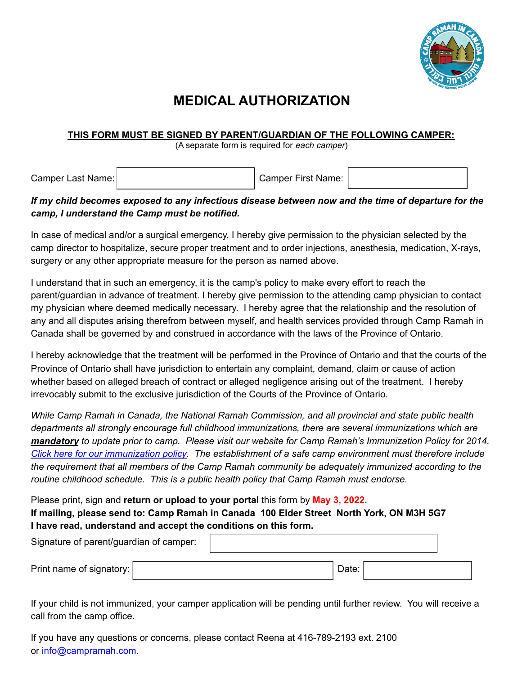

## **MEDICAL AUTHORIZATION**

## **THIS FORM MUST BE SIGNED BY PARENT/GUARDIAN OF THE FOLLOWING CAMPER:**

(A separate form is required for *each camper*)

Camper Last Name:  $\vert$  Camper First Name:

## If my child becomes exposed to any infectious disease between now and the time of departure for the *camp, I understand the Camp must be notified.*

In case of medical and/or a surgical emergency, I hereby give permission to the physician selected by the camp director to hospitalize, secure proper treatment and to order injections, anesthesia, medication, X-rays, surgery or any other appropriate measure for the person as named above.

I understand that in such an emergency, it is the camp's policy to make every effort to reach the parent/guardian in advance of treatment. I hereby give permission to the attending camp physician to contact my physician where deemed medically necessary. I hereby agree that the relationship and the resolution of any and all disputes arising therefrom between myself, and health services provided through Camp Ramah in Canada shall be governed by and construed in accordance with the laws of the Province of Ontario.

I hereby acknowledge that the treatment will be performed in the Province of Ontario and that the courts of the Province of Ontario shall have jurisdiction to entertain any complaint, demand, claim or cause of action whether based on alleged breach of contract or alleged negligence arising out of the treatment. I hereby irrevocably submit to the exclusive jurisdiction of the Courts of the Province of Ontario.

*While Camp Ramah in Canada, the National Ramah Commission, and all provincial and state public health departments all strongly encourage full childhood immunizations, there are several immunizations which are* mandatory to update prior to camp. Please visit our website for Camp Ramah's Immunization Policy for 2014. *Click here for our [immunization](http://www.campramah.com/immunization-policy-2013) policy. The establishment of a safe camp environment must therefore include the requirement that all members of the Camp Ramah community be adequately immunized according to the routine childhood schedule. This is a public health policy that Camp Ramah must endorse.*

Please print, sign and **return or upload to your portal** this form by **May 3, 2022**. **If mailing, please send to: Camp Ramah in Canada 100 Elder Street North York, ON M3H 5G7 I have read, understand and accept the conditions on this form.**

| Signature of parent/guardian of camper: |       |  |
|-----------------------------------------|-------|--|
| Print name of signatory:                | Date: |  |

If your child is not immunized, your camper application will be pending until further review. You will receive a call from the camp office.

If you have any questions or concerns, please contact Reena at 416-789-2193 ext. 2100 or [info@campramah.com.](mailto:info@campramah.com)